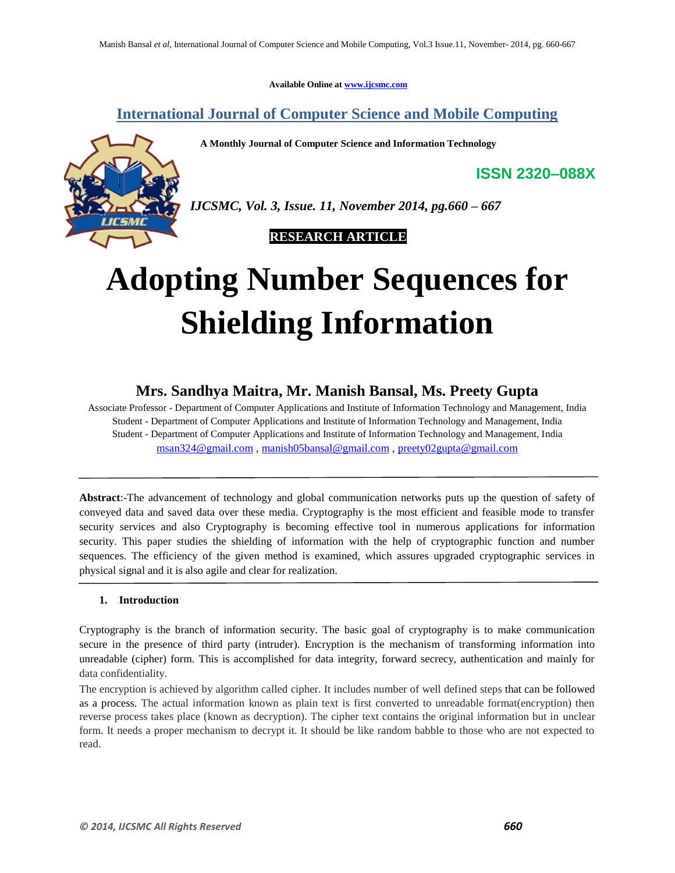**Available Online at www.ijcsmc.com**

# **International Journal of Computer Science and Mobile Computing**

 **A Monthly Journal of Computer Science and Information Technology**



*IJCSMC, Vol. 3, Issue. 11, November 2014, pg.660 – 667*

 **RESEARCH ARTICLE**

# **Adopting Number Sequences for Shielding Information**

# **Mrs. Sandhya Maitra, Mr. Manish Bansal, Ms. Preety Gupta**

Associate Professor - Department of Computer Applications and Institute of Information Technology and Management, India Student - Department of Computer Applications and Institute of Information Technology and Management, India Student - Department of Computer Applications and Institute of Information Technology and Management, India msan324@gmail.com , manish05bansal@gmail.com , preety02gupta@gmail.com

**Abstract**:-The advancement of technology and global communication networks puts up the question of safety of conveyed data and saved data over these media. Cryptography is the most efficient and feasible mode to transfer security services and also Cryptography is becoming effective tool in numerous applications for information security. This paper studies the shielding of information with the help of cryptographic function and number sequences. The efficiency of the given method is examined, which assures upgraded cryptographic services in physical signal and it is also agile and clear for realization.

# **1. Introduction**

Cryptography is the branch of information security. The basic goal of cryptography is to make communication secure in the presence of third party (intruder). Encryption is the mechanism of transforming information into unreadable (cipher) form. This is accomplished for data integrity, forward secrecy, authentication and mainly for data confidentiality.

The encryption is achieved by algorithm called cipher. It includes number of well defined steps that can be followed as a process. The actual information known as plain text is first converted to unreadable format(encryption) then reverse process takes place (known as decryption). The cipher text contains the original information but in unclear form. It needs a proper mechanism to decrypt it. It should be like random babble to those who are not expected to read.

**ISSN 2320–088X**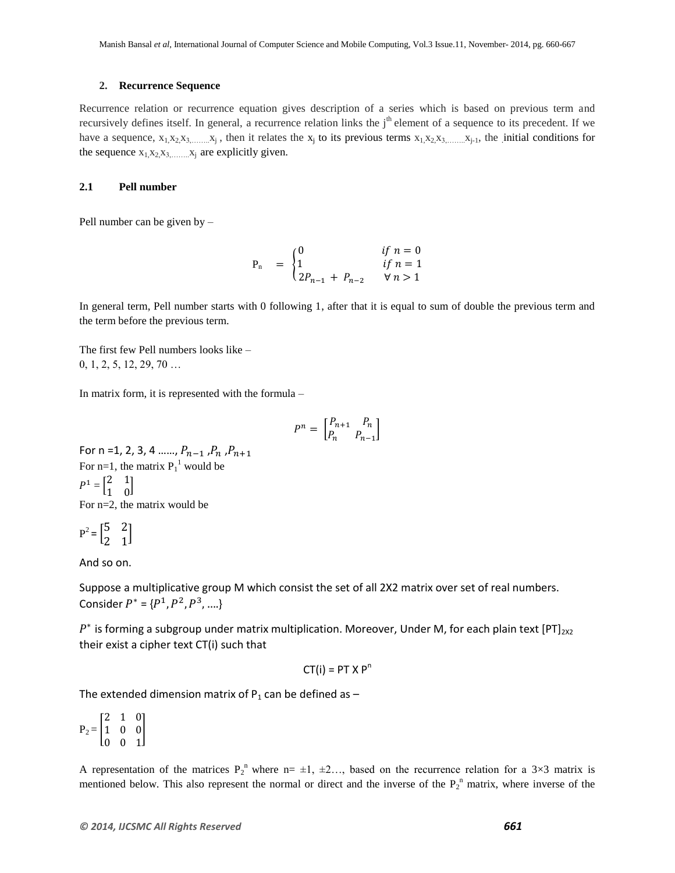#### **2. Recurrence Sequence**

Recurrence relation or recurrence equation gives description of a series which is based on previous term and recursively defines itself. In general, a recurrence relation links the j<sup>th</sup> element of a sequence to its precedent. If we have a sequence,  $x_1, x_2, x_3, \ldots, x_j$ , then it relates the  $x_j$  to its previous terms  $x_1, x_2, x_3, \ldots, x_{j-1}$ , the initial conditions for the sequence  $x_1, x_2, x_3, \ldots, x_i$  are explicitly given.

#### **2.1 Pell number**

Pell number can be given by –

$$
P_n = \begin{cases} 0 & \text{if } n = 0 \\ 1 & \text{if } n = 1 \\ 2P_{n-1} + P_{n-2} & \forall n > 1 \end{cases}
$$

In general term, Pell number starts with 0 following 1, after that it is equal to sum of double the previous term and the term before the previous term.

The first few Pell numbers looks like – 0, 1, 2, 5, 12, 29, 70 …

In matrix form, it is represented with the formula –

$$
P^n = \begin{bmatrix} P_{n+1} & P_n \\ P_n & P_{n-1} \end{bmatrix}
$$

For n =1, 2, 3, 4 ……,  $P_{n-1}$  ,  $P_n$  ,  $P_{n+1}$ For n=1, the matrix  $P_1^1$  would be  $P^1 = \begin{bmatrix} 2 \\ 4 \end{bmatrix}$  $\begin{bmatrix} 2 & 1 \\ 1 & 0 \end{bmatrix}$ For n=2, the matrix would be

$$
P^2 = \begin{bmatrix} 5 & 2 \\ 2 & 1 \end{bmatrix}
$$

And so on.

Suppose a multiplicative group M which consist the set of all 2X2 matrix over set of real numbers. Consider  $P^* = \{P^1, P^2, P^3, \ldots\}$ 

 $P^*$  is forming a subgroup under matrix multiplication. Moreover, Under M, for each plain text [PT]<sub>2x2</sub> their exist a cipher text CT(i) such that

$$
CT(i) = PT X Pn
$$

The extended dimension matrix of  $P_1$  can be defined as  $-$ 

 $P_2 =$  $\overline{c}$  $\mathbf{1}$  $\boldsymbol{0}$ ]

A representation of the matrices  $P_2^{\text{n}}$  where  $n= \pm 1, \pm 2, \ldots$ , based on the recurrence relation for a 3×3 matrix is mentioned below. This also represent the normal or direct and the inverse of the  $P_2$ <sup>n</sup> matrix, where inverse of the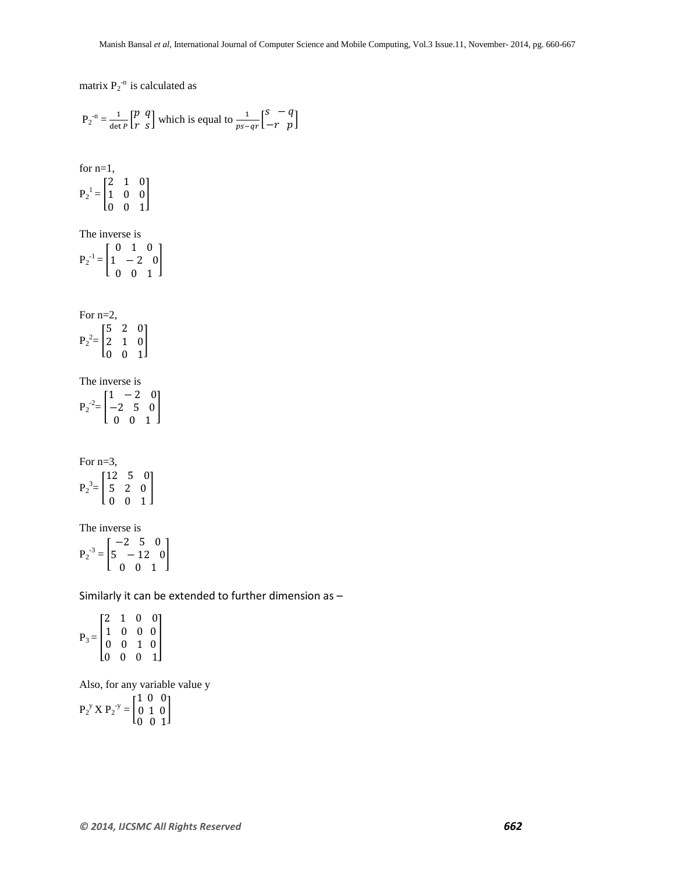matrix  $P_2^{-n}$  is calculated as

$$
P_2^{-n} = \frac{1}{\det P} \begin{bmatrix} p & q \\ r & s \end{bmatrix}
$$
 which is equal to  $\frac{1}{ps-qr} \begin{bmatrix} s & -q \\ -r & p \end{bmatrix}$ 

for n=1,

$$
P_2^{-1}\!=\!\begin{bmatrix}2&1&0\\1&0&0\\0&0&1\end{bmatrix}
$$

The inverse is

 $P_2^{-1} =$  $\boldsymbol{0}$  $\mathbf{1}$  $\boldsymbol{0}$ ]

For n=2,  $\begin{bmatrix} 5 & 2 & 0 \end{bmatrix}$ 

$$
P_2^2 = \begin{bmatrix} 2 & 1 & 0 \\ 2 & 1 & 0 \\ 0 & 0 & 1 \end{bmatrix}
$$

The inverse is

 $P_2^{-2} =$  $\mathbf{1}$  $\overline{\phantom{0}}$  $\boldsymbol{0}$ ]

For  $n=3$ ,  $P_2^3 =$  $\mathbf{1}$ 5  $\boldsymbol{0}$ ]

The inverse is

 $P_2^{-3} =$  $\overline{\phantom{0}}$ 5  $\boldsymbol{0}$ ]

Similarly it can be extended to further dimension as –

 $P_3 =$  $\overline{c}$  $\mathbf{1}$  $\begin{bmatrix} 1 & 0 & 0 & 0 \\ 0 & 0 & 1 & 0 \end{bmatrix}$  $\begin{bmatrix} 0 & 0 & 0 & 1 \end{bmatrix}$ 

Also, for any variable value y

 $P_2^y X P_2^{-y} =$  $\mathbf{1}$  $\boldsymbol{0}$  $\boldsymbol{0}$ ]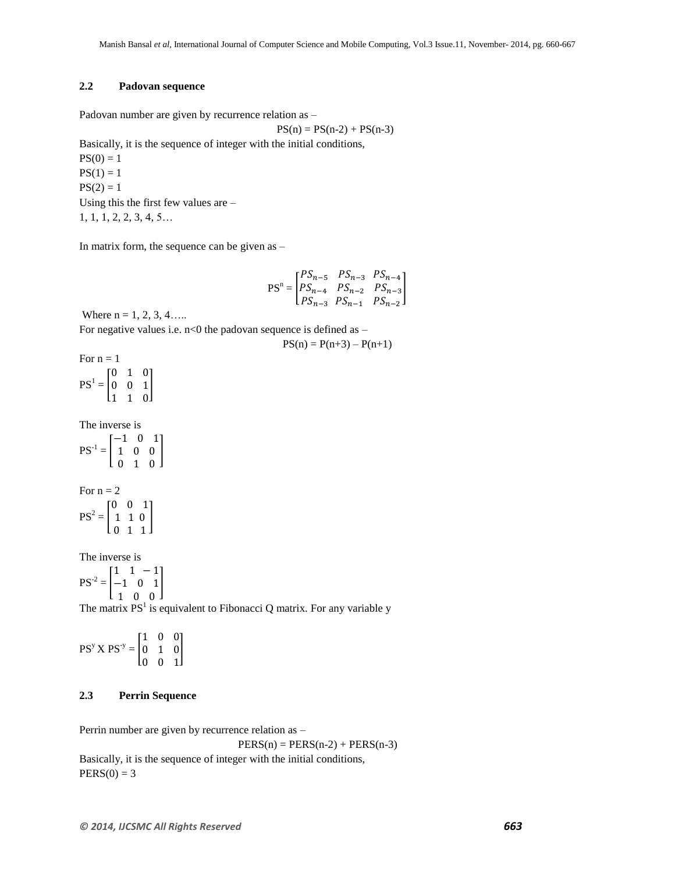## **2.2 Padovan sequence**

Padovan number are given by recurrence relation as –

 $PS(n) = PS(n-2) + PS(n-3)$ 

Basically, it is the sequence of integer with the initial conditions,

 $PS(0) = 1$  $PS(1) = 1$  $PS(2) = 1$ Using this the first few values are – 1, 1, 1, 2, 2, 3, 4, 5…

In matrix form, the sequence can be given as –

$$
PS^{n} = \begin{bmatrix} PS_{n-5} & PS_{n-3} & PS_{n-4} \\ PS_{n-4} & PS_{n-2} & PS_{n-3} \\ PS_{n-3} & PS_{n-1} & PS_{n-2} \end{bmatrix}
$$

 $PS(n) = P(n+3) - P(n+1)$ 

Where  $n = 1, 2, 3, 4...$ 

For negative values i.e.  $n<0$  the padovan sequence is defined as –

For  $n = 1$  $PS^1 =$  $\boldsymbol{0}$  $\boldsymbol{0}$  $\mathbf{1}$ ]

The inverse is

 $PS^{-1} = |$  $\overline{\phantom{0}}$  $\mathbf{1}$  $\boldsymbol{0}$ ]

For  $n = 2$  $PS^2 =$  $\boldsymbol{0}$  $\mathbf{1}$  $\boldsymbol{0}$ ]

The inverse is

$$
PS^{-2} = \begin{bmatrix} 1 & 1 & -1 \\ -1 & 0 & 1 \\ 1 & 0 & 0 \end{bmatrix}
$$

The matrix  $PS<sup>1</sup>$  is equivalent to Fibonacci Q matrix. For any variable y

$$
PS^{y} X PS^{-y} = \begin{bmatrix} 1 & 0 & 0 \\ 0 & 1 & 0 \\ 0 & 0 & 1 \end{bmatrix}
$$

#### **2.3 Perrin Sequence**

Perrin number are given by recurrence relation as –

 $PERS(n) = PERS(n-2) + PERS(n-3)$ 

Basically, it is the sequence of integer with the initial conditions,  $PERS(0) = 3$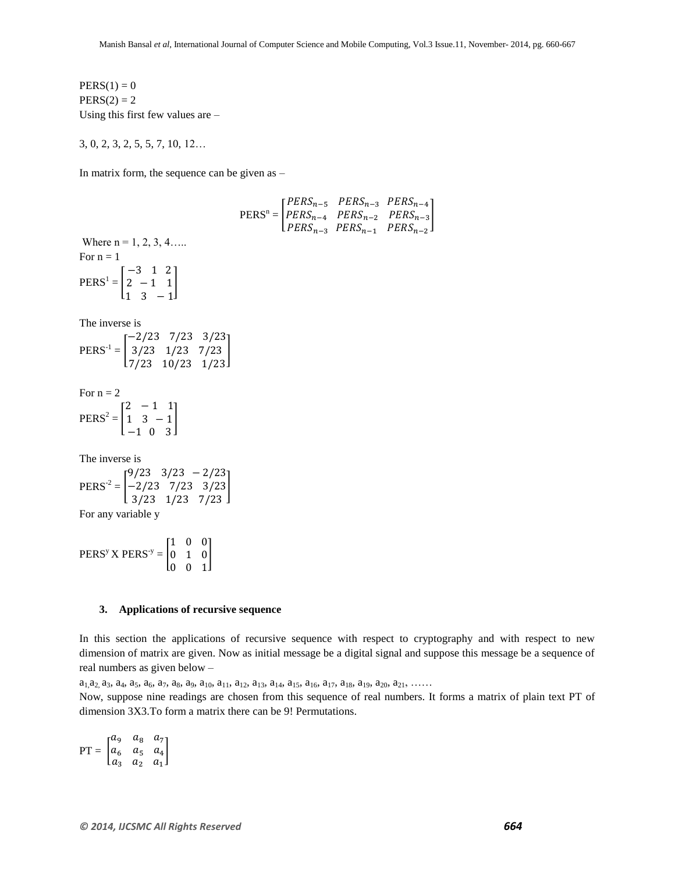]

 $PERS(1) = 0$  $PERS(2) = 2$ Using this first few values are –

3, 0, 2, 3, 2, 5, 5, 7, 10, 12…

In matrix form, the sequence can be given as –

 $PERS<sup>n</sup> =$  $\overline{P}$  $\boldsymbol{P}$  $\boldsymbol{P}$ Where  $n = 1, 2, 3, 4...$ For  $n = 1$  $PERS^1 =$  $\overline{\phantom{0}}$ 2  $\mathbf{1}$ ] The inverse is  $PERS^{-1} = |$  $\overline{\phantom{0}}$  $\frac{3}{23}$   $\frac{1}{23}$   $\frac{7}{23}$ <br>7/23  $\frac{10}{23}$   $\frac{1}{23}$ For  $n = 2$  $PERS^2 =$  $\overline{c}$  $\mathbf{1}$  $\overline{\phantom{0}}$ ] The inverse is  $PERS^{-2} = |$ 9  $\begin{bmatrix} -2/23 & 7/23 & 3/23 \\ 3/23 & 1/23 & 7/23 \end{bmatrix}$ For any variable y  $PERS<sup>y</sup> X PERS<sup>-y</sup> =$  $\mathbf{1}$  $\boldsymbol{0}$  $\boldsymbol{0}$ ]

#### **3. Applications of recursive sequence**

In this section the applications of recursive sequence with respect to cryptography and with respect to new dimension of matrix are given. Now as initial message be a digital signal and suppose this message be a sequence of real numbers as given below –

 $a_1, a_2, a_3, a_4, a_5, a_6, a_7, a_8, a_9, a_{10}, a_{11}, a_{12}, a_{13}, a_{14}, a_{15}, a_{16}, a_{17}, a_{18}, a_{19}, a_{20}, a_{21}, \ldots$ 

Now, suppose nine readings are chosen from this sequence of real numbers. It forms a matrix of plain text PT of dimension 3X3.To form a matrix there can be 9! Permutations.

 $PT = |$  $\alpha$  $\alpha$  $\alpha$ ]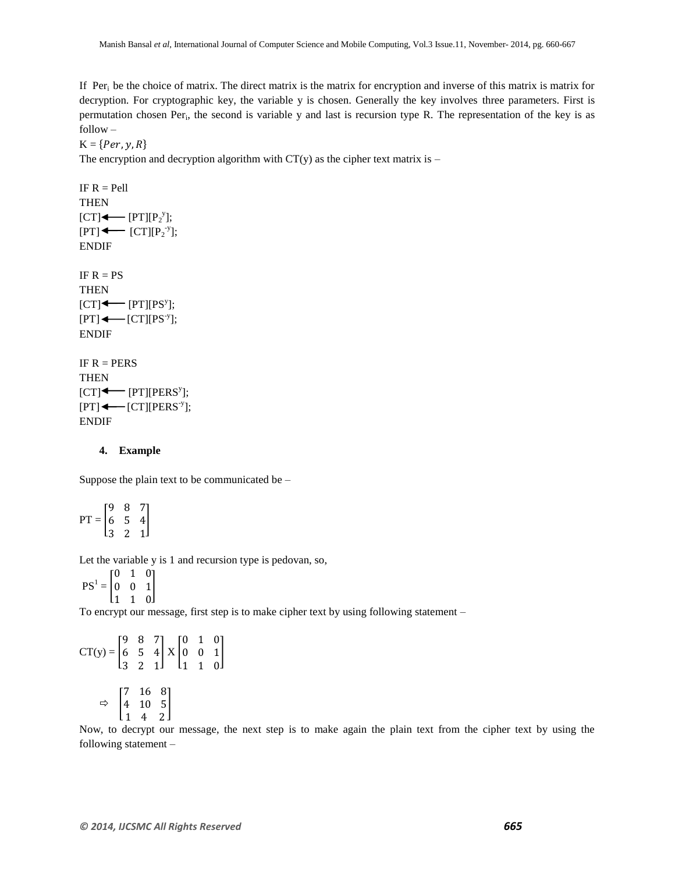If  $Per_i$  be the choice of matrix. The direct matrix is the matrix for encryption and inverse of this matrix is matrix for decryption. For cryptographic key, the variable y is chosen. Generally the key involves three parameters. First is permutation chosen Per<sub>i</sub>, the second is variable y and last is recursion type R. The representation of the key is as follow –

 $K = \{Per, y, R\}$ 

The encryption and decryption algorithm with  $CT(y)$  as the cipher text matrix is –

IF  $R =$  Pell **THEN**  $[CT] \longleftarrow [PT][P_2^y];$  $[PT] \longleftarrow [CT][P_2^{\nu}];$ ENDIF IF  $R = PS$ **THEN**  $[CT] \longleftarrow [PT][PS^y];$  $[PT] \longleftarrow [CT][PS^y];$ ENDIF IF  $R = PERS$ **THEN** 

 $[CT] \leftarrow [PT][PERS<sup>y</sup>];$  $[PT] \longleftarrow [CT][PERS<sup>-y</sup>];$ ENDIF

#### **4. Example**

Suppose the plain text to be communicated be –

 $PT = |$ 9 6 3 ]

Let the variable y is 1 and recursion type is pedovan, so,

 $PS^1 =$  $\boldsymbol{0}$  $0 \quad 0 \quad 1$ l1 1 ol

To encrypt our message, first step is to make cipher text by using following statement –

$$
CT(y) = \begin{bmatrix} 9 & 8 & 7 \\ 6 & 5 & 4 \\ 3 & 2 & 1 \end{bmatrix} X \begin{bmatrix} 0 & 1 & 0 \\ 0 & 0 & 1 \\ 1 & 1 & 0 \end{bmatrix}
$$

$$
\Rightarrow \begin{bmatrix} 7 & 16 & 8 \\ 4 & 10 & 5 \\ 1 & 4 & 2 \end{bmatrix}
$$

Now, to decrypt our message, the next step is to make again the plain text from the cipher text by using the following statement –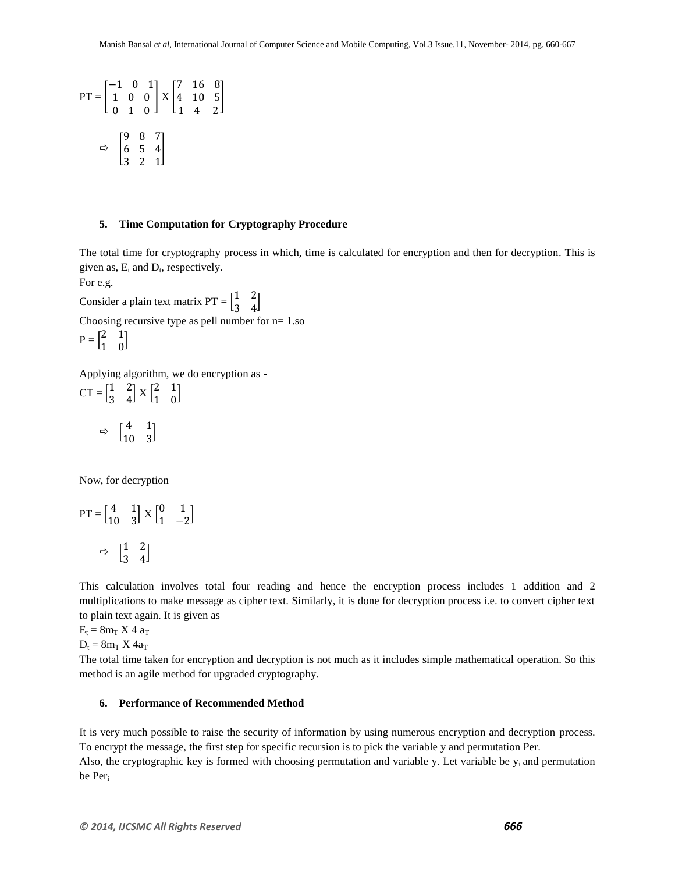$$
PT = \begin{bmatrix} -1 & 0 & 1 \\ 1 & 0 & 0 \\ 0 & 1 & 0 \end{bmatrix} X \begin{bmatrix} 7 & 16 & 8 \\ 4 & 10 & 5 \\ 1 & 4 & 2 \end{bmatrix}
$$

$$
\Rightarrow \begin{bmatrix} 9 & 8 & 7 \\ 6 & 5 & 4 \\ 3 & 2 & 1 \end{bmatrix}
$$

#### **5. Time Computation for Cryptography Procedure**

The total time for cryptography process in which, time is calculated for encryption and then for decryption. This is given as,  $E_t$  and  $D_t$ , respectively.

For e.g.

Consider a plain text matrix  $PT = \begin{bmatrix} 1 \\ 2 \end{bmatrix}$  $\begin{bmatrix} 1 & 2 \\ 3 & 4 \end{bmatrix}$ Choosing recursive type as pell number for  $n=1$ .so

$$
P = \begin{bmatrix} 2 & 1 \\ 1 & 0 \end{bmatrix}
$$

Applying algorithm, we do encryption as -  $CT = \begin{bmatrix} 1 \\ 2 \end{bmatrix}$  $\begin{bmatrix} 1 & 2 \\ 3 & 4 \end{bmatrix}$  X  $\begin{bmatrix} 2 \\ 1 \end{bmatrix}$  $\begin{bmatrix} 2 & 1 \\ 1 & 0 \end{bmatrix}$ 

$$
\Rightarrow \begin{bmatrix} 4 & 1 \\ 10 & 3 \end{bmatrix}
$$

Now, for decryption –

$$
PT = \begin{bmatrix} 4 & 1 \\ 10 & 3 \end{bmatrix} X \begin{bmatrix} 0 & 1 \\ 1 & -2 \end{bmatrix}
$$

$$
\Rightarrow \begin{bmatrix} 1 & 2 \\ 3 & 4 \end{bmatrix}
$$

This calculation involves total four reading and hence the encryption process includes 1 addition and 2 multiplications to make message as cipher text. Similarly, it is done for decryption process i.e. to convert cipher text to plain text again. It is given as –

 $E_t = 8m_T X 4 a_T$ 

 $D_t = 8m_T X 4a_T$ 

The total time taken for encryption and decryption is not much as it includes simple mathematical operation. So this method is an agile method for upgraded cryptography.

## **6. Performance of Recommended Method**

It is very much possible to raise the security of information by using numerous encryption and decryption process. To encrypt the message, the first step for specific recursion is to pick the variable y and permutation Per. Also, the cryptographic key is formed with choosing permutation and variable y. Let variable be  $y_i$  and permutation be Peri